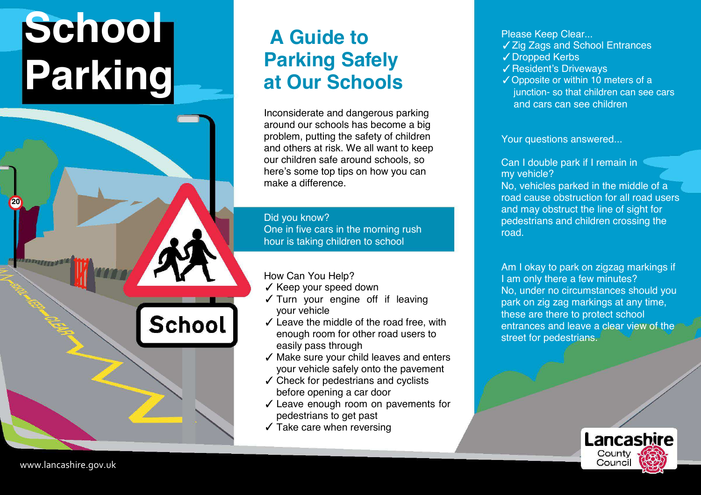## **School Parking**

## **A Guide to Parking Safely at Our Schools**

Inconsiderate and dangerous parking around our schools has become a big problem, putting the safety of children and others at risk. We all want to keep our children safe around schools, so here's some top tips on how you can make a difference.

Did you know? One in five cars in the morning rush hour is taking children to school

How Can You Help?

School

- ✓ Keep your speed down
- ✓ Turn your engine off if leaving your vehicle
- $\checkmark$  Leave the middle of the road free, with enough room for other road users to easily pass through
- ✓ Make sure your child leaves and enters your vehicle safely onto the pavement
- ✓ Check for pedestrians and cyclists before opening a car door
- ✓ Leave enough room on pavements for pedestrians to get past
- $\checkmark$  Take care when reversing

Please Keep Clear... ✓ Zig Zags and School Entrances

- ✓ Dropped Kerbs
- ✓ Resident's Driveways
- ✓ Opposite or within 10 meters of a junction- so that children can see cars and cars can see children

Your questions answered...

Can I double park if I remain in my vehicle?

No, vehicles parked in the middle of a road cause obstruction for all road users and may obstruct the line of sight for pedestrians and children crossing the road.

Am I okay to park on zigzag markings if I am only there a few minutes? No, under no circumstances should you park on zig zag markings at any time, these are there to protect school entrances and leave a clear view of the street for pedestrians.



**20**